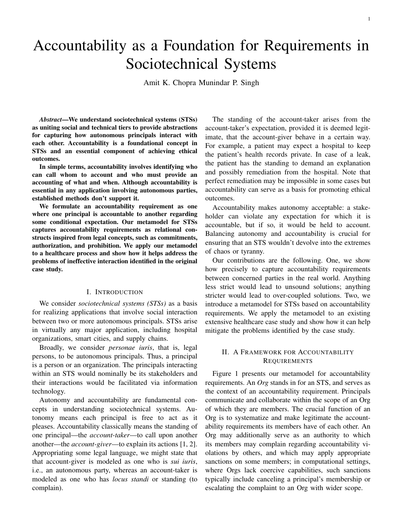# Accountability as a Foundation for Requirements in Sociotechnical Systems

Amit K. Chopra Munindar P. Singh

*Abstract*—We understand sociotechnical systems (STSs) as uniting social and technical tiers to provide abstractions for capturing how autonomous principals interact with each other. Accountability is a foundational concept in STSs and an essential component of achieving ethical outcomes.

In simple terms, accountability involves identifying who can call whom to account and who must provide an accounting of what and when. Although accountability is essential in any application involving autonomous parties, established methods don't support it.

We formulate an accountability requirement as one where one principal is accountable to another regarding some conditional expectation. Our metamodel for STSs captures accountability requirements as relational constructs inspired from legal concepts, such as commitments, authorization, and prohibition. We apply our metamodel to a healthcare process and show how it helps address the problems of ineffective interaction identified in the original case study.

### I. INTRODUCTION

We consider *sociotechnical systems (STSs)* as a basis for realizing applications that involve social interaction between two or more autonomous principals. STSs arise in virtually any major application, including hospital organizations, smart cities, and supply chains.

Broadly, we consider *personae iuris*, that is, legal persons, to be autonomous principals. Thus, a principal is a person or an organization. The principals interacting within an STS would nominally be its stakeholders and their interactions would be facilitated via information technology.

Autonomy and accountability are fundamental concepts in understanding sociotechnical systems. Autonomy means each principal is free to act as it pleases. Accountability classically means the standing of one principal—the *account-taker*—to call upon another another—the *account-giver*—to explain its actions [1, 2]. Appropriating some legal language, we might state that that account-giver is modeled as one who is *sui iuris*, i.e., an autonomous party, whereas an account-taker is modeled as one who has *locus standi* or standing (to complain).

The standing of the account-taker arises from the account-taker's expectation, provided it is deemed legitimate, that the account-giver behave in a certain way. For example, a patient may expect a hospital to keep the patient's health records private. In case of a leak, the patient has the standing to demand an explanation and possibly remediation from the hospital. Note that perfect remediation may be impossible in some cases but accountability can serve as a basis for promoting ethical outcomes.

Accountability makes autonomy acceptable: a stakeholder can violate any expectation for which it is accountable, but if so, it would be held to account. Balancing autonomy and accountability is crucial for ensuring that an STS wouldn't devolve into the extremes of chaos or tyranny.

Our contributions are the following. One, we show how precisely to capture accountability requirements between concerned parties in the real world. Anything less strict would lead to unsound solutions; anything stricter would lead to over-coupled solutions. Two, we introduce a metamodel for STSs based on accountability requirements. We apply the metamodel to an existing extensive healthcare case study and show how it can help mitigate the problems identified by the case study.

## II. A FRAMEWORK FOR ACCOUNTABILITY REQUIREMENTS

Figure 1 presents our metamodel for accountability requirements. An *Org* stands in for an STS, and serves as the context of an accountability requirement. Principals communicate and collaborate within the scope of an Org of which they are members. The crucial function of an Org is to systematize and make legitimate the accountability requirements its members have of each other. An Org may additionally serve as an authority to which its members may complain regarding accountability violations by others, and which may apply appropriate sanctions on some members; in computational settings, where Orgs lack coercive capabilities, such sanctions typically include canceling a principal's membership or escalating the complaint to an Org with wider scope.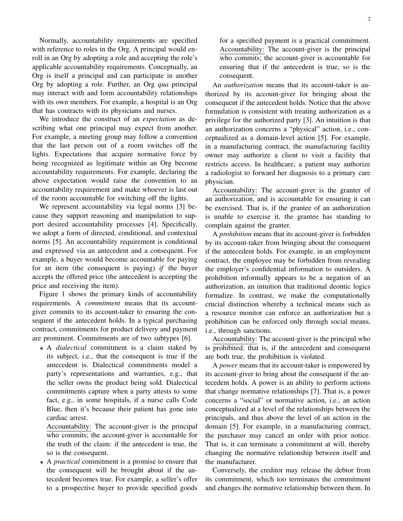Normally, accountability requirements are specified with reference to roles in the Org. A principal would enroll in an Org by adopting a role and accepting the role's applicable accountability requirements. Conceptually, an Org is itself a principal and can participate in another Org by adopting a role. Further, an Org *qua* principal may interact with and form accountability relationships with its own members. For example, a hospital is an Org that has contracts with its physicians and nurses.

We introduce the construct of an *expectation* as describing what one principal may expect from another. For example, a meeting group may follow a convention that the last person out of a room switches off the lights. Expectations that acquire normative force by being recognized as legitimate within an Org become accountability requirements. For example, declaring the above expectation would raise the convention to an accountability requirement and make whoever is last out of the room accountable for switching off the lights.

We represent accountability via legal norms [3] because they support reasoning and manipulation to support desired accountability processes [4]. Specifically, we adopt a form of directed, conditional, and contextual norms [5]. An accountability requirement is conditional and expressed via an antecedent and a consequent. For example, a buyer would become accountable for paying for an item (the consequent is paying) *if* the buyer accepts the offered price (the antecedent is accepting the price and receiving the item).

Figure 1 shows the primary kinds of accountability requirements. A *commitment* means that its accountgiver commits to its account-taker to ensuring the consequent if the antecedent holds. In a typical purchasing contract, commitments for product delivery and payment are prominent. Commitments are of two subtypes [6].

• A *dialectical* commitment is a claim staked by its subject, i.e., that the consequent is true if the antecedent is. Dialectical commitments model a party's representations and warranties, e.g., that the seller owns the product being sold. Dialectical commitments capture when a party attests to some fact, e.g., in some hospitals, if a nurse calls Code Blue, then it's because their patient has gone into cardiac arrest.

Accountability: The account-giver is the principal who commits; the account-giver is accountable for the truth of the claim: if the antecedent is true, the so is the consequent.

• A *practical* commitment is a promise to ensure that the consequent will be brought about if the antecedent becomes true. For example, a seller's offer to a prospective buyer to provide specified goods

for a specified payment is a practical commitment. Accountability: The account-giver is the principal who commits; the account-giver is accountable for ensuring that if the antecedent is true, so is the consequent.

An *authorization* means that its account-taker is authorized by its account-giver for bringing about the consequent if the antecedent holds. Notice that the above formulation is consistent with treating authorization as a privilege for the authorized party [3]. An intuition is that an authorization concerns a "physical" action, i.e., conceptualized as a domain-level action [5]. For example, in a manufacturing contract, the manufacturing facility owner may authorize a client to visit a facility that restricts access. In healthcare, a patient may authorize a radiologist to forward her diagnosis to a primary care physician.

Accountability: The account-giver is the granter of an authorization, and is accountable for ensuring it can be exercised. That is, if the grantee of an authorization is unable to exercise it, the grantee has standing to complain against the granter.

A *prohibition* means that its account-giver is forbidden by its account-taker from bringing about the consequent if the antecedent holds. For example, in an employment contract, the employee may be forbidden from revealing the employer's confidential information to outsiders. A prohibition informally appears to be a negation of an authorization, an intuition that traditional deontic logics formalize. In contrast, we make the computationally crucial distinction whereby a technical means such as a resource monitor can enforce an authorization but a prohibition can be enforced only through social means, i.e., through sanctions.

Accountability: The account-giver is the principal who is prohibited: that is, if the antecedent and consequent are both true, the prohibition is violated.

A *power* means that its account-taker is empowered by its account-giver to bring about the consequent if the antecedent holds. A power is an ability to perform actions that change normative relationships [7]. That is, a power concerns a "social" or normative action, i.e., an action conceptualized at a level of the relationships between the principals, and thus above the level of an action in the domain [5]. For example, in a manufacturing contract, the purchaser may cancel an order with prior notice. That is, it can terminate a commitment at will, thereby changing the normative relationship between itself and the manufacturer.

Conversely, the creditor may release the debtor from its commitment, which too terminates the commitment and changes the normative relationship between them. In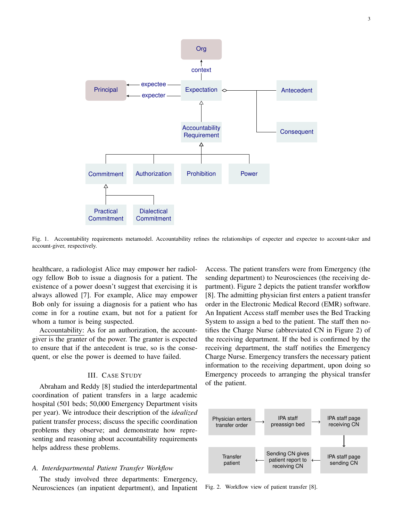

Fig. 1. Accountability requirements metamodel. Accountability refines the relationships of expecter and expectee to account-taker and account-giver, respectively.

healthcare, a radiologist Alice may empower her radiology fellow Bob to issue a diagnosis for a patient. The existence of a power doesn't suggest that exercising it is always allowed [7]. For example, Alice may empower Bob only for issuing a diagnosis for a patient who has come in for a routine exam, but not for a patient for whom a tumor is being suspected.

Accountability: As for an authorization, the accountgiver is the granter of the power. The granter is expected to ensure that if the antecedent is true, so is the consequent, or else the power is deemed to have failed.

#### III. CASE STUDY

Abraham and Reddy [8] studied the interdepartmental coordination of patient transfers in a large academic hospital (501 beds; 50,000 Emergency Department visits per year). We introduce their description of the *idealized* patient transfer process; discuss the specific coordination problems they observe; and demonstrate how representing and reasoning about accountability requirements helps address these problems.

#### *A. Interdepartmental Patient Transfer Workflow*

The study involved three departments: Emergency, Neurosciences (an inpatient department), and Inpatient

Access. The patient transfers were from Emergency (the sending department) to Neurosciences (the receiving department). Figure 2 depicts the patient transfer workflow [8]. The admitting physician first enters a patient transfer order in the Electronic Medical Record (EMR) software. An Inpatient Access staff member uses the Bed Tracking System to assign a bed to the patient. The staff then notifies the Charge Nurse (abbreviated CN in Figure 2) of the receiving department. If the bed is confirmed by the receiving department, the staff notifies the Emergency Charge Nurse. Emergency transfers the necessary patient information to the receiving department, upon doing so Emergency proceeds to arranging the physical transfer of the patient.



Fig. 2. Workflow view of patient transfer [8].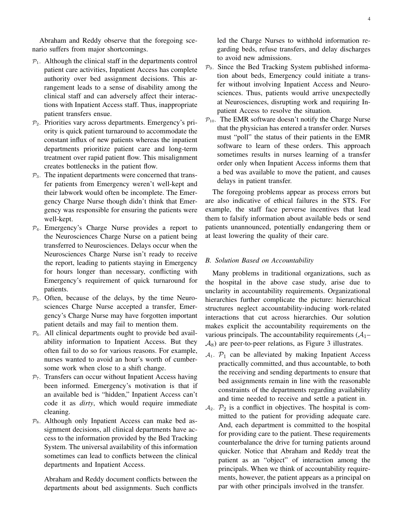Abraham and Reddy observe that the foregoing scenario suffers from major shortcomings.

- $P_1$ . Although the clinical staff in the departments control patient care activities, Inpatient Access has complete authority over bed assignment decisions. This arrangement leads to a sense of disability among the clinical staff and can adversely affect their interactions with Inpatient Access staff. Thus, inappropriate patient transfers ensue.
- $P_2$ . Priorities vary across departments. Emergency's priority is quick patient turnaround to accommodate the constant influx of new patients whereas the inpatient departments prioritize patient care and long-term treatment over rapid patient flow. This misalignment creates bottlenecks in the patient flow.
- $P_3$ . The inpatient departments were concerned that transfer patients from Emergency weren't well-kept and their labwork would often be incomplete. The Emergency Charge Nurse though didn't think that Emergency was responsible for ensuring the patients were well-kept.
- $\mathcal{P}_4$ . Emergency's Charge Nurse provides a report to the Neurosciences Charge Nurse on a patient being transferred to Neurosciences. Delays occur when the Neurosciences Charge Nurse isn't ready to receive the report, leading to patients staying in Emergency for hours longer than necessary, conflicting with Emergency's requirement of quick turnaround for patients.
- $P_5$ . Often, because of the delays, by the time Neurosciences Charge Nurse accepted a transfer, Emergency's Charge Nurse may have forgotten important patient details and may fail to mention them.
- $\mathcal{P}_6$ . All clinical departments ought to provide bed availability information to Inpatient Access. But they often fail to do so for various reasons. For example, nurses wanted to avoid an hour's worth of cumbersome work when close to a shift change.
- $P_7$ . Transfers can occur without Inpatient Access having been informed. Emergency's motivation is that if an available bed is "hidden," Inpatient Access can't code it as *dirty*, which would require immediate cleaning.
- $P_8$ . Although only Inpatient Access can make bed assignment decisions, all clinical departments have access to the information provided by the Bed Tracking System. The universal availability of this information sometimes can lead to conflicts between the clinical departments and Inpatient Access.

Abraham and Reddy document conflicts between the departments about bed assignments. Such conflicts led the Charge Nurses to withhold information regarding beds, refuse transfers, and delay discharges to avoid new admissions.

- $P_9$ . Since the Bed Tracking System published information about beds, Emergency could initiate a transfer without involving Inpatient Access and Neurosciences. Thus, patients would arrive unexpectedly at Neurosciences, disrupting work and requiring Inpatient Access to resolve the situation.
- $\mathcal{P}_{10}$ . The EMR software doesn't notify the Charge Nurse that the physician has entered a transfer order. Nurses must "poll" the status of their patients in the EMR software to learn of these orders. This approach sometimes results in nurses learning of a transfer order only when Inpatient Access informs them that a bed was available to move the patient, and causes delays in patient transfer.

The foregoing problems appear as process errors but are also indicative of ethical failures in the STS. For example, the staff face perverse incentives that lead them to falsify information about available beds or send patients unannounced, potentially endangering them or at least lowering the quality of their care.

## *B. Solution Based on Accountability*

Many problems in traditional organizations, such as the hospital in the above case study, arise due to unclarity in accountability requirements. Organizational hierarchies further complicate the picture: hierarchical structures neglect accountability-inducing work-related interactions that cut across hierarchies. Our solution makes explicit the accountability requirements on the various principals. The accountability requirements  $(A_1 \mathcal{A}_8$ ) are peer-to-peer relations, as Figure 3 illustrates.

- $A_1$ .  $P_1$  can be alleviated by making Inpatient Access practically committed, and thus accountable, to both the receiving and sending departments to ensure that bed assignments remain in line with the reasonable constraints of the departments regarding availability and time needed to receive and settle a patient in.
- $A_2$ .  $P_2$  is a conflict in objectives. The hospital is committed to the patient for providing adequate care. And, each department is committed to the hospital for providing care to the patient. These requirements counterbalance the drive for turning patients around quicker. Notice that Abraham and Reddy treat the patient as an "object" of interaction among the principals. When we think of accountability requirements, however, the patient appears as a principal on par with other principals involved in the transfer.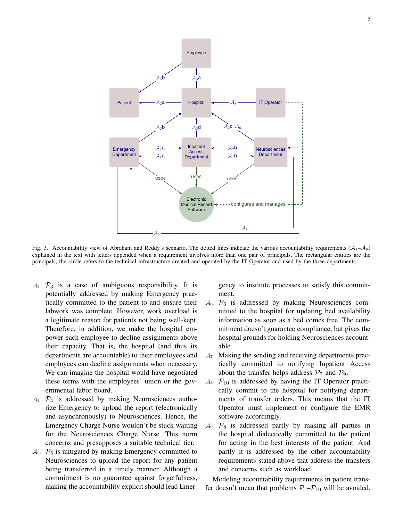

Fig. 3. Accountability view of Abraham and Reddy's scenario. The dotted lines indicate the various accountability requirements  $(A_1-A_8)$ explained in the text with letters appended when a requirement involves more than one pair of principals. The rectangular entities are the principals; the circle refers to the technical infrastructure created and operated by the IT Operator and used by the three departments.

- $A_3$ .  $P_3$  is a case of ambiguous responsibility. It is potentially addressed by making Emergency practically committed to the patient to and ensure their labwork was complete. However, work overload is a legitimate reason for patients not being well-kept. Therefore, in addition, we make the hospital empower each employee to decline assignments above their capacity. That is, the hospital (and thus its departments are accountable) to their employees and employees can decline assignments when necessary. We can imagine the hospital would have negotiated these terms with the employees' union or the governmental labor board.
- $A_4$ .  $P_4$  is addressed by making Neurosciences authorize Emergency to upload the report (electronically and asynchronously) to Neurosciences. Hence, the Emergency Charge Nurse wouldn't be stuck waiting for the Neurosciences Charge Nurse. This norm concerns and presupposes a suitable technical tier.
- $A_5$ .  $\mathcal{P}_5$  is mitigated by making Emergency committed to Neurosciences to upload the report for any patient being transferred in a timely manner. Although a commitment is no guarantee against forgetfulness, making the accountability explicit should lead Emer-

gency to institute processes to satisfy this commitment.

- $A_6$ .  $P_6$  is addressed by making Neurosciences committed to the hospital for updating bed availability information as soon as a bed comes free. The commitment doesn't guarantee compliance, but gives the hospital grounds for holding Neurosciences accountable.
- $A_7$ . Making the sending and receiving departments practically committed to notifying Inpatient Access about the transfer helps address  $\mathcal{P}_7$  and  $\mathcal{P}_9$ .
- $A_8$ .  $\mathcal{P}_{10}$  is addressed by having the IT Operator practically commit to the hospital for notifying departments of transfer orders. This means that the IT Operator must implement or configure the EMR software accordingly.
- $A_9$ .  $P_8$  is addressed partly by making all parties in the hospital dialectically committed to the patient for acting in the best interests of the patient. And partly it is addressed by the other accountability requirements stated above that address the transfers and concerns such as workload.

Modeling accountability requirements in patient transfer doesn't mean that problems  $P_1-P_{10}$  will be avoided.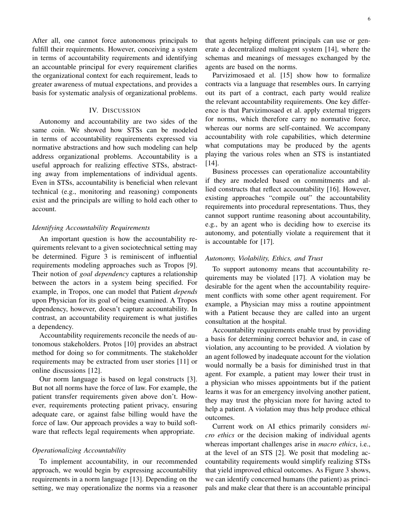After all, one cannot force autonomous principals to fulfill their requirements. However, conceiving a system in terms of accountability requirements and identifying an accountable principal for every requirement clarifies the organizational context for each requirement, leads to greater awareness of mutual expectations, and provides a basis for systematic analysis of organizational problems.

## IV. DISCUSSION

Autonomy and accountability are two sides of the same coin. We showed how STSs can be modeled in terms of accountability requirements expressed via normative abstractions and how such modeling can help address organizational problems. Accountability is a useful approach for realizing effective STSs, abstracting away from implementations of individual agents. Even in STSs, accountability is beneficial when relevant technical (e.g., monitoring and reasoning) components exist and the principals are willing to hold each other to account.

## *Identifying Accountability Requirements*

An important question is how the accountability requirements relevant to a given sociotechnical setting may be determined. Figure 3 is reminiscent of influential requirements modeling approaches such as Tropos [9]. Their notion of *goal dependency* captures a relationship between the actors in a system being specified. For example, in Tropos, one can model that Patient *depends* upon Physician for its goal of being examined. A Tropos dependency, however, doesn't capture accountability. In contrast, an accountability requirement is what justifies a dependency.

Accountability requirements reconcile the needs of autonomous stakeholders. Protos [10] provides an abstract method for doing so for commitments. The stakeholder requirements may be extracted from user stories [11] or online discussions [12].

Our norm language is based on legal constructs [3]. But not all norms have the force of law. For example, the patient transfer requirements given above don't. However, requirements protecting patient privacy, ensuring adequate care, or against false billing would have the force of law. Our approach provides a way to build software that reflects legal requirements when appropriate.

#### *Operationalizing Accountability*

To implement accountability, in our recommended approach, we would begin by expressing accountability requirements in a norm language [13]. Depending on the setting, we may operationalize the norms via a reasoner that agents helping different principals can use or generate a decentralized multiagent system [14], where the schemas and meanings of messages exchanged by the agents are based on the norms.

Parvizimosaed et al. [15] show how to formalize contracts via a language that resembles ours. In carrying out its part of a contract, each party would realize the relevant accountability requirements. One key difference is that Parvizimosaed et al. apply external triggers for norms, which therefore carry no normative force, whereas our norms are self-contained. We accompany accountability with role capabilities, which determine what computations may be produced by the agents playing the various roles when an STS is instantiated [14].

Business processes can operationalize accountability if they are modeled based on commitments and allied constructs that reflect accountability [16]. However, existing approaches "compile out" the accountability requirements into procedural representations. Thus, they cannot support runtime reasoning about accountability, e.g., by an agent who is deciding how to exercise its autonomy, and potentially violate a requirement that it is accountable for [17].

#### *Autonomy, Violability, Ethics, and Trust*

To support autonomy means that accountability requirements may be violated [17]. A violation may be desirable for the agent when the accountability requirement conflicts with some other agent requirement. For example, a Physician may miss a routine appointment with a Patient because they are called into an urgent consultation at the hospital.

Accountability requirements enable trust by providing a basis for determining correct behavior and, in case of violation, any accounting to be provided. A violation by an agent followed by inadequate account for the violation would normally be a basis for diminished trust in that agent. For example, a patient may lower their trust in a physician who misses appointments but if the patient learns it was for an emergency involving another patient, they may trust the physician more for having acted to help a patient. A violation may thus help produce ethical outcomes.

Current work on AI ethics primarily considers *micro ethics* or the decision making of individual agents whereas important challenges arise in *macro ethics*, i.e., at the level of an STS [2]. We posit that modeling accountability requirements would simplify realizing STSs that yield improved ethical outcomes. As Figure 3 shows, we can identify concerned humans (the patient) as principals and make clear that there is an accountable principal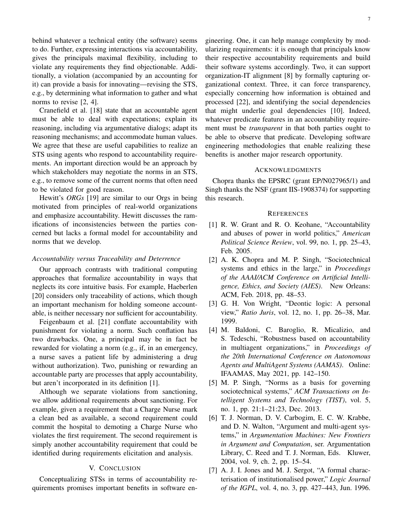behind whatever a technical entity (the software) seems to do. Further, expressing interactions via accountability, gives the principals maximal flexibility, including to violate any requirements they find objectionable. Additionally, a violation (accompanied by an accounting for it) can provide a basis for innovating—revising the STS, e.g., by determining what information to gather and what norms to revise [2, 4].

Cranefield et al. [18] state that an accountable agent must be able to deal with expectations; explain its reasoning, including via argumentative dialogs; adapt its reasoning mechanisms; and accommodate human values. We agree that these are useful capabilities to realize an STS using agents who respond to accountability requirements. An important direction would be an approach by which stakeholders may negotiate the norms in an STS, e.g., to remove some of the current norms that often need to be violated for good reason.

Hewitt's *ORGs* [19] are similar to our Orgs in being motivated from principles of real-world organizations and emphasize accountability. Hewitt discusses the ramifications of inconsistencies between the parties concerned but lacks a formal model for accountability and norms that we develop.

#### *Accountability versus Traceability and Deterrence*

Our approach contrasts with traditional computing approaches that formalize accountability in ways that neglects its core intuitive basis. For example, Haeberlen [20] considers only traceability of actions, which though an important mechanism for holding someone accountable, is neither necessary nor sufficient for accountability.

Feigenbaum et al. [21] conflate accountability with punishment for violating a norm. Such conflation has two drawbacks. One, a principal may be in fact be rewarded for violating a norm (e.g., if, in an emergency, a nurse saves a patient life by administering a drug without authorization). Two, punishing or rewarding an accountable party are processes that apply accountability, but aren't incorporated in its definition [1].

Although we separate violations from sanctioning, we allow additional requirements about sanctioning. For example, given a requirement that a Charge Nurse mark a clean bed as available, a second requirement could commit the hospital to demoting a Charge Nurse who violates the first requirement. The second requirement is simply another accountability requirement that could be identified during requirements elicitation and analysis.

# V. CONCLUSION

Conceptualizing STSs in terms of accountability requirements promises important benefits in software engineering. One, it can help manage complexity by modularizing requirements: it is enough that principals know their respective accountability requirements and build their software systems accordingly. Two, it can support organization-IT alignment [8] by formally capturing organizational context. Three, it can force transparency, especially concerning how information is obtained and processed [22], and identifying the social dependencies that might underlie goal dependencies [10]. Indeed, whatever predicate features in an accountability requirement must be *transparent* in that both parties ought to be able to observe that predicate. Developing software engineering methodologies that enable realizing these benefits is another major research opportunity.

#### ACKNOWLEDGMENTS

Chopra thanks the EPSRC (grant EP/N027965/1) and Singh thanks the NSF (grant IIS-1908374) for supporting this research.

#### **REFERENCES**

- [1] R. W. Grant and R. O. Keohane, "Accountability and abuses of power in world politics," *American Political Science Review*, vol. 99, no. 1, pp. 25–43, Feb. 2005.
- [2] A. K. Chopra and M. P. Singh, "Sociotechnical systems and ethics in the large," in *Proceedings of the AAAI/ACM Conference on Artificial Intelligence, Ethics, and Society (AIES)*. New Orleans: ACM, Feb. 2018, pp. 48–53.
- [3] G. H. Von Wright, "Deontic logic: A personal view," *Ratio Juris*, vol. 12, no. 1, pp. 26–38, Mar. 1999.
- [4] M. Baldoni, C. Baroglio, R. Micalizio, and S. Tedeschi, "Robustness based on accountability in multiagent organizations," in *Proceedings of the 20th International Conference on Autonomous Agents and MultiAgent Systems (AAMAS)*. Online: IFAAMAS, May 2021, pp. 142–150.
- [5] M. P. Singh, "Norms as a basis for governing sociotechnical systems," *ACM Transactions on Intelligent Systems and Technology (TIST)*, vol. 5, no. 1, pp. 21:1–21:23, Dec. 2013.
- [6] T. J. Norman, D. V. Carbogim, E. C. W. Krabbe, and D. N. Walton, "Argument and multi-agent systems," in *Argumentation Machines: New Frontiers in Argument and Computation*, ser. Argumentation Library, C. Reed and T. J. Norman, Eds. Kluwer, 2004, vol. 9, ch. 2, pp. 15–54.
- [7] A. J. I. Jones and M. J. Sergot, "A formal characterisation of institutionalised power," *Logic Journal of the IGPL*, vol. 4, no. 3, pp. 427–443, Jun. 1996.